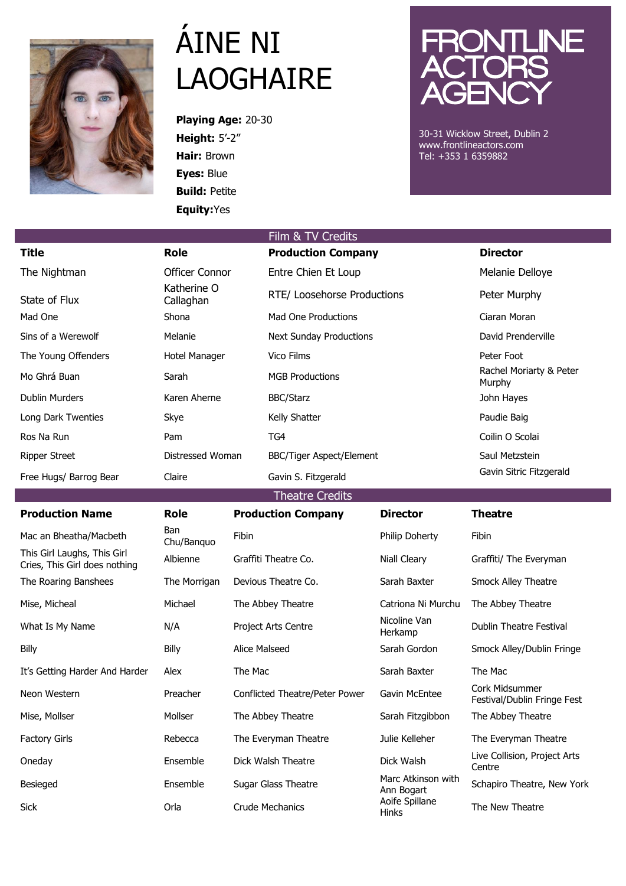

## ÁINE NI LAOGHAIRE

**Playing Age:** 20-30 **Height:** 5'-2" **Hair:** Brown **Eyes:** Blue **Build:** Petite **Equity:**Yes



30-31 Wicklow Street, Dublin 2 www.frontlineactors.com Tel: +353 1 6359882

|                                                              |                          |                                | Film & TV Credits               |                                  |                                               |  |  |  |
|--------------------------------------------------------------|--------------------------|--------------------------------|---------------------------------|----------------------------------|-----------------------------------------------|--|--|--|
| <b>Title</b>                                                 | <b>Role</b>              |                                | <b>Production Company</b>       |                                  | <b>Director</b>                               |  |  |  |
| The Nightman                                                 | <b>Officer Connor</b>    |                                | Entre Chien Et Loup             |                                  | Melanie Delloye                               |  |  |  |
| State of Flux                                                | Katherine O<br>Callaghan |                                | RTE/ Loosehorse Productions     |                                  | Peter Murphy                                  |  |  |  |
| Mad One                                                      | Shona                    |                                | <b>Mad One Productions</b>      |                                  | Ciaran Moran                                  |  |  |  |
| Sins of a Werewolf                                           | Melanie                  |                                | <b>Next Sunday Productions</b>  |                                  | David Prenderville                            |  |  |  |
| The Young Offenders                                          | <b>Hotel Manager</b>     |                                | <b>Vico Films</b>               |                                  | Peter Foot                                    |  |  |  |
| Mo Ghrá Buan                                                 | Sarah                    |                                | <b>MGB Productions</b>          |                                  | Rachel Moriarty & Peter<br>Murphy             |  |  |  |
| <b>Dublin Murders</b>                                        | Karen Aherne             |                                | <b>BBC/Starz</b>                |                                  | John Hayes                                    |  |  |  |
| Long Dark Twenties                                           | Skye                     |                                | Kelly Shatter                   |                                  | Paudie Baig                                   |  |  |  |
| Ros Na Run                                                   | Pam                      |                                | TG4                             |                                  | Coilin O Scolai                               |  |  |  |
| <b>Ripper Street</b>                                         | Distressed Woman         |                                | <b>BBC/Tiger Aspect/Element</b> |                                  | Saul Metzstein                                |  |  |  |
| Free Hugs/ Barrog Bear                                       | Claire                   |                                | Gavin S. Fitzgerald             |                                  | Gavin Sitric Fitzgerald                       |  |  |  |
| <b>Theatre Credits</b>                                       |                          |                                |                                 |                                  |                                               |  |  |  |
| <b>Production Name</b>                                       | <b>Role</b>              |                                | <b>Production Company</b>       | <b>Director</b>                  | <b>Theatre</b>                                |  |  |  |
| Mac an Bheatha/Macbeth                                       | <b>Ban</b><br>Chu/Banquo | Fibin                          |                                 | Philip Doherty                   | Fibin                                         |  |  |  |
| This Girl Laughs, This Girl<br>Cries, This Girl does nothing | Albienne                 |                                | Graffiti Theatre Co.            | Niall Cleary                     | Graffiti/ The Everyman                        |  |  |  |
| The Roaring Banshees                                         | The Morrigan             | Devious Theatre Co.            |                                 | Sarah Baxter                     | Smock Alley Theatre                           |  |  |  |
| Mise, Micheal                                                | Michael                  | The Abbey Theatre              |                                 | Catriona Ni Murchu               | The Abbey Theatre                             |  |  |  |
| What Is My Name                                              | N/A                      | Project Arts Centre            |                                 | Nicoline Van<br>Herkamp          | <b>Dublin Theatre Festival</b>                |  |  |  |
| Billy                                                        | Billy                    | Alice Malseed                  |                                 | Sarah Gordon                     | Smock Alley/Dublin Fringe                     |  |  |  |
| It's Getting Harder And Harder                               | Alex                     | The Mac                        |                                 | Sarah Baxter                     | The Mac                                       |  |  |  |
| Neon Western                                                 | Preacher                 | Conflicted Theatre/Peter Power |                                 | Gavin McEntee                    | Cork Midsummer<br>Festival/Dublin Fringe Fest |  |  |  |
| Mise, Mollser                                                | Mollser                  | The Abbey Theatre              |                                 | Sarah Fitzgibbon                 | The Abbey Theatre                             |  |  |  |
| <b>Factory Girls</b>                                         | Rebecca                  |                                | The Everyman Theatre            | Julie Kelleher                   | The Everyman Theatre                          |  |  |  |
| Oneday                                                       | Ensemble                 |                                | Dick Walsh Theatre              | Dick Walsh                       | Live Collision, Project Arts<br>Centre        |  |  |  |
| Besieged                                                     | Ensemble                 | Sugar Glass Theatre            |                                 | Marc Atkinson with<br>Ann Bogart | Schapiro Theatre, New York                    |  |  |  |
| Sick                                                         | Orla                     | <b>Crude Mechanics</b>         |                                 | Aoife Spillane<br>Hinks          | The New Theatre                               |  |  |  |